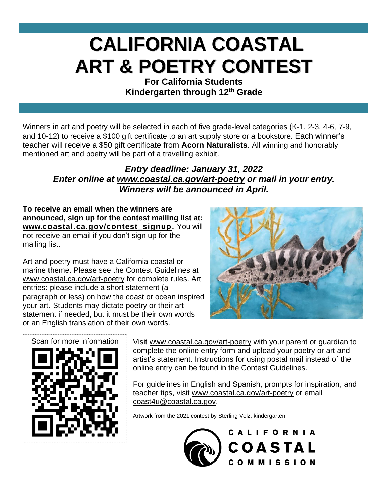## **CALIFORNIA COASTAL ART & POETRY CONTEST**

**For California Students Kindergarten through 12th Grade**

Winners in art and poetry will be selected in each of five grade-level categories (K-1, 2-3, 4-6, 7-9, and 10-12) to receive a \$100 gift certificate to an art supply store or a bookstore. Each winner's teacher will receive a \$50 gift certificate from **Acorn Naturalists**. All winning and honorably mentioned art and poetry will be part of a travelling exhibit.

## *Entry deadline: January 31, 2022 Enter online at [www.coastal.ca.gov/art-poetry](http://www.coastal.ca.gov/art-poetry) or mail in your entry. Winners will be announced in April.*

**To receive an email when the winners are announced, sign up for the contest mailing list at: [www.coastal.c](http://www.coastal.ca.gov/contest_signup)a.gov/contest\_signup.** You will not receive an email if you don't sign up for the mailing list.

Art and poetry must have a California coastal or marine theme. Please see the Contest Guidelines at [www.coastal.ca.gov/art-poetry](http://www.coastal.ca.gov/art-poetry) for complete rules. Art entries: please include a short statement (a paragraph or less) on how the coast or ocean inspired your art. Students may dictate poetry or their art statement if needed, but it must be their own words or an English translation of their own words.





Visit [www.coastal.ca.gov/art-poetry](http://www.coastal.ca.gov/art-poetry) with your parent or guardian to complete the online entry form and upload your poetry or art and artist's statement. Instructions for using postal mail instead of the online entry can be found in the Contest Guidelines.

For guidelines in English and Spanish, prompts for inspiration, and teacher tips, visit [www.coastal.ca.gov/art-poetry](http://www.coastal.ca.gov/art-poetry) or email [coast4u@coastal.ca.gov.](mailto:coast4u@coastal.ca.gov)

Artwork from the 2021 contest by Sterling Volz, kindergarten

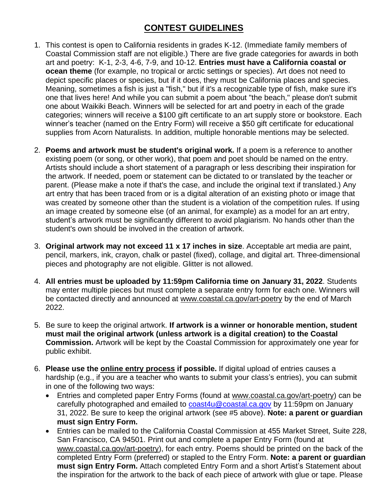## **CONTEST GUIDELINES**

- 1. This contest is open to California residents in grades K-12. (Immediate family members of Coastal Commission staff are not eligible.) There are five grade categories for awards in both art and poetry: K-1, 2-3, 4-6, 7-9, and 10-12. **Entries must have a California coastal or ocean theme** (for example, no tropical or arctic settings or species). Art does not need to depict specific places or species, but if it does, they must be California places and species. Meaning, sometimes a fish is just a "fish," but if it's a recognizable type of fish, make sure it's one that lives here! And while you can submit a poem about "the beach," please don't submit one about Waikiki Beach. Winners will be selected for art and poetry in each of the grade categories; winners will receive a \$100 gift certificate to an art supply store or bookstore. Each winner's teacher (named on the Entry Form) will receive a \$50 gift certificate for educational supplies from Acorn Naturalists. In addition, multiple honorable mentions may be selected.
- 2. **Poems and artwork must be student's original work.** If a poem is a reference to another existing poem (or song, or other work), that poem and poet should be named on the entry. Artists should include a short statement of a paragraph or less describing their inspiration for the artwork. If needed, poem or statement can be dictated to or translated by the teacher or parent. (Please make a note if that's the case, and include the original text if translated.) Any art entry that has been traced from or is a digital alteration of an existing photo or image that was created by someone other than the student is a violation of the competition rules. If using an image created by someone else (of an animal, for example) as a model for an art entry, student's artwork must be significantly different to avoid plagiarism. No hands other than the student's own should be involved in the creation of artwork.
- 3. **Original artwork may not exceed 11 x 17 inches in size**. Acceptable art media are paint, pencil, markers, ink, crayon, chalk or pastel (fixed), collage, and digital art. Three-dimensional pieces and photography are not eligible. Glitter is not allowed.
- 4. **All entries must be uploaded by 11:59pm California time on January 31, 2022**. Students may enter multiple pieces but must complete a separate entry form for each one. Winners will be contacted directly and announced at [www.coastal.ca.gov/art-poetry](http://www.coastal.ca.gov/art-poetry) by the end of March 2022.
- 5. Be sure to keep the original artwork. **If artwork is a winner or honorable mention, student must mail the original artwork (unless artwork is a digital creation) to the Coastal Commission.** Artwork will be kept by the Coastal Commission for approximately one year for public exhibit.
- 6. **Please use the online entry [process](https://woobox.com/6shjzv) if possible.** If digital upload of entries causes a hardship (e.g., if you are a teacher who wants to submit your class's entries), you can submit in one of the following two ways:
	- Entries and completed paper Entry Forms (found at [www.coastal.ca.gov/art-poetry\)](http://www.coastal.ca.gov/art-poetry) can be carefully photographed and emailed to [coast4u@coastal.ca.gov](mailto:coast4u@coastal.ca.gov) by 11:59pm on January 31, 2022. Be sure to keep the original artwork (see #5 above). **Note: a parent or guardian must sign Entry Form.**
	- Entries can be mailed to the California Coastal Commission at 455 Market Street, Suite 228, San Francisco, CA 94501. Print out and complete a paper Entry Form (found at [www.coastal.ca.gov/art-poetry\)](http://www.coastal.ca.gov/art-poetry), for each entry. Poems should be printed on the back of the completed Entry Form (preferred) or stapled to the Entry Form. **Note: a parent or guardian must sign Entry Form.** Attach completed Entry Form and a short Artist's Statement about the inspiration for the artwork to the back of each piece of artwork with glue or tape. Please